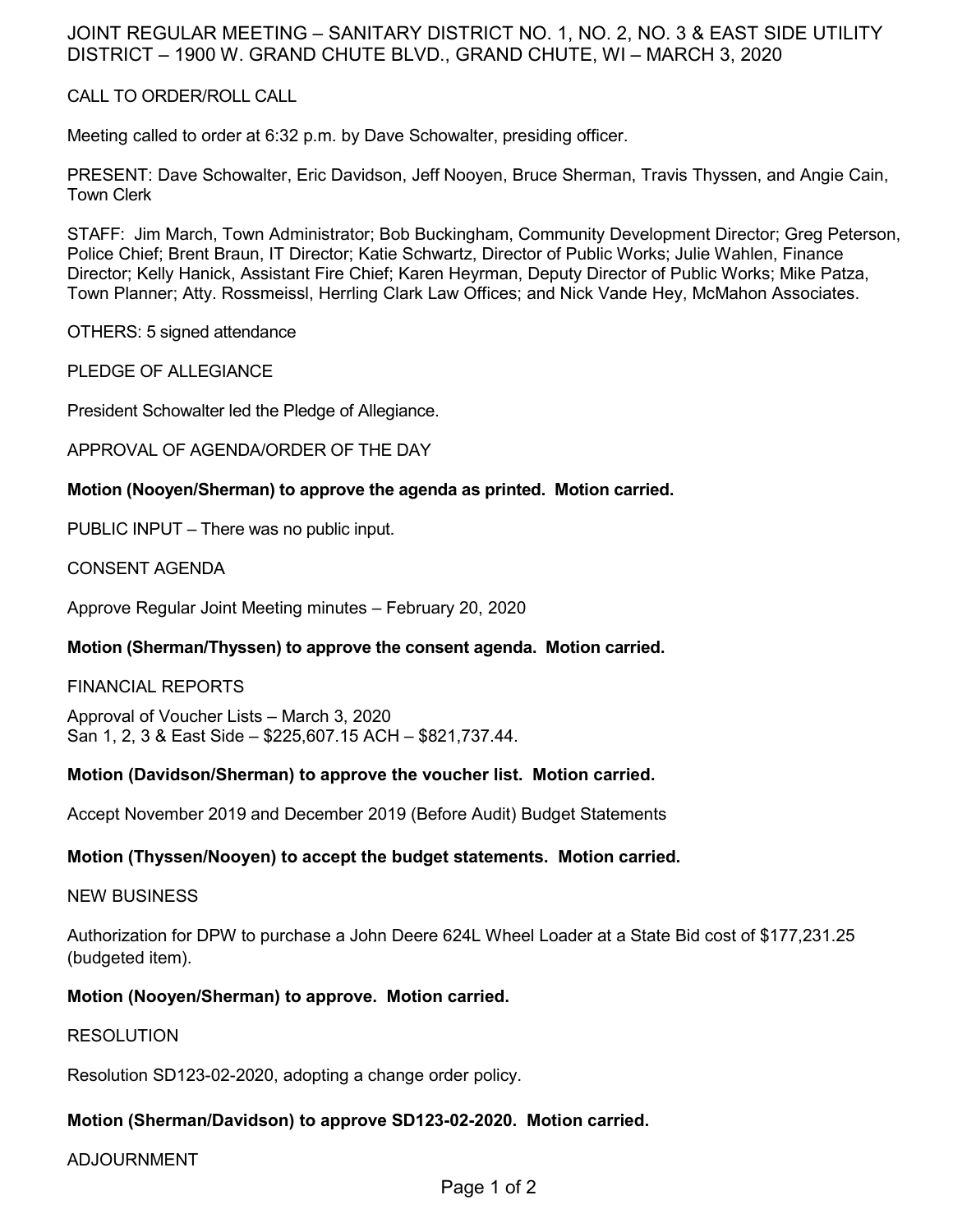# JOINT REGULAR MEETING – SANITARY DISTRICT NO. 1, NO. 2, NO. 3 & EAST SIDE UTILITY DISTRICT – 1900 W. GRAND CHUTE BLVD., GRAND CHUTE, WI – MARCH 3, 2020

## CALL TO ORDER/ROLL CALL

Meeting called to order at 6:32 p.m. by Dave Schowalter, presiding officer.

PRESENT: Dave Schowalter, Eric Davidson, Jeff Nooyen, Bruce Sherman, Travis Thyssen, and Angie Cain, Town Clerk

STAFF: Jim March, Town Administrator; Bob Buckingham, Community Development Director; Greg Peterson, Police Chief; Brent Braun, IT Director; Katie Schwartz, Director of Public Works; Julie Wahlen, Finance Director; Kelly Hanick, Assistant Fire Chief; Karen Heyrman, Deputy Director of Public Works; Mike Patza, Town Planner; Atty. Rossmeissl, Herrling Clark Law Offices; and Nick Vande Hey, McMahon Associates.

OTHERS: 5 signed attendance

PLEDGE OF ALLEGIANCE

President Schowalter led the Pledge of Allegiance.

APPROVAL OF AGENDA/ORDER OF THE DAY

#### **Motion (Nooyen/Sherman) to approve the agenda as printed. Motion carried.**

PUBLIC INPUT – There was no public input.

CONSENT AGENDA

Approve Regular Joint Meeting minutes – February 20, 2020

## **Motion (Sherman/Thyssen) to approve the consent agenda. Motion carried.**

#### FINANCIAL REPORTS

Approval of Voucher Lists – March 3, 2020 San 1, 2, 3 & East Side – \$225,607.15 ACH – \$821,737.44.

## **Motion (Davidson/Sherman) to approve the voucher list. Motion carried.**

Accept November 2019 and December 2019 (Before Audit) Budget Statements

## **Motion (Thyssen/Nooyen) to accept the budget statements. Motion carried.**

#### NEW BUSINESS

Authorization for DPW to purchase a John Deere 624L Wheel Loader at a State Bid cost of \$177,231.25 (budgeted item).

#### **Motion (Nooyen/Sherman) to approve. Motion carried.**

#### RESOLUTION

Resolution SD123-02-2020, adopting a change order policy.

## **Motion (Sherman/Davidson) to approve SD123-02-2020. Motion carried.**

#### ADJOURNMENT